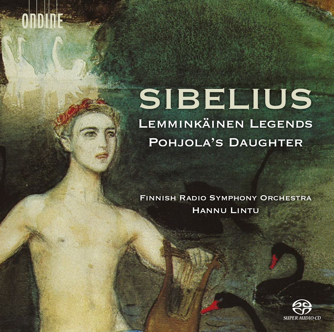# **SIBELIUS** Lemminkäinen Legends POHJOLA'S DAUGHTER

Finnish Radio Symphony Orchestra Hannu Lintu

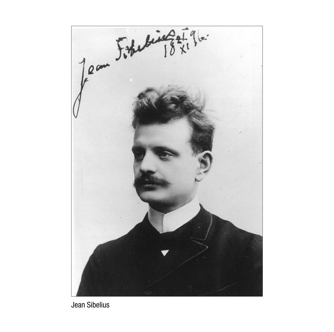

Jean Sibelius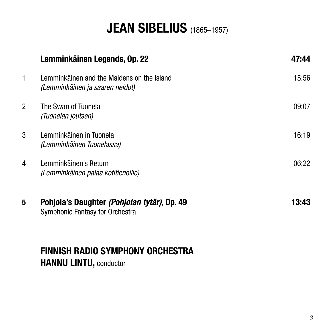# **JEAN SIBELIUS** (1865–1957)

|   | Lemminkäinen Legends, Op. 22                                                   | 47:44 |
|---|--------------------------------------------------------------------------------|-------|
| 1 | Lemminkäinen and the Maidens on the Island<br>(Lemminkäinen ja saaren neidot)  | 15:56 |
| 2 | The Swan of Tuonela<br>(Tuonelan joutsen)                                      | 09:07 |
| 3 | Lemminkäinen in Tuonela<br>(Lemminkäinen Tuonelassa)                           | 16:19 |
| 4 | Lemminkäinen's Return<br>(Lemminkäinen palaa kotitienoille)                    | 06:22 |
| 5 | Pohjola's Daughter (Pohjolan tytär), Op. 49<br>Symphonic Fantasy for Orchestra | 13:43 |

## **FINNISH RADIO SYMPHONY ORCHESTRA HANNU LINTU,** conductor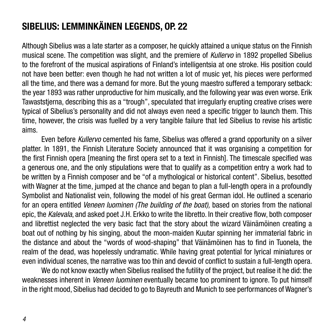# **Sibelius: Lemminkäinen Legends, Op. 22**

Although Sibelius was a late starter as a composer, he quickly attained a unique status on the Finnish musical scene. The competition was slight, and the premiere of *Kullervo* in 1892 propelled Sibelius to the forefront of the musical aspirations of Finland's intelligentsia at one stroke. His position could not have been better: even though he had not written a lot of music yet, his pieces were performed all the time, and there was a demand for more. But the young maestro suffered a temporary setback: the year 1893 was rather unproductive for him musically, and the following year was even worse. Erik Tawaststjerna, describing this as a "trough", speculated that irregularly erupting creative crises were typical of Sibelius's personality and did not always even need a specific trigger to launch them. This time, however, the crisis was fuelled by a very tangible failure that led Sibelius to revise his artistic aims.

Even before *Kullervo* cemented his fame, Sibelius was offered a grand opportunity on a silver platter. In 1891, the Finnish Literature Society announced that it was organising a competition for the first Finnish opera [meaning the first opera set to a text in Finnish]. The timescale specified was a generous one, and the only stipulations were that to qualify as a competition entry a work had to be written by a Finnish composer and be "of a mythological or historical content". Sibelius, besotted with Wagner at the time, jumped at the chance and began to plan a full-length opera in a profoundly Symbolist and Nationalist vein, following the model of his great German idol. He outlined a scenario for an opera entitled *Veneen luominen (The building of the boat),* based on stories from the national epic, the *Kalevala*, and asked poet J.H. Erkko to write the libretto. In their creative flow, both composer and librettist neglected the very basic fact that the story about the wizard Väinämöinen creating a boat out of nothing by his singing, about the moon-maiden Kuutar spinning her immaterial fabric in the distance and about the "words of wood-shaping" that Väinämöinen has to find in Tuonela, the realm of the dead, was hopelessly undramatic. While having great potential for lyrical miniatures or even individual scenes, the narrative was too thin and devoid of conflict to sustain a full-length opera.

We do not know exactly when Sibelius realised the futility of the project, but realise it he did: the weaknesses inherent in *Veneen luominen* eventually became too prominent to ignore. To put himself in the right mood, Sibelius had decided to go to Bayreuth and Munich to see performances of Wagner's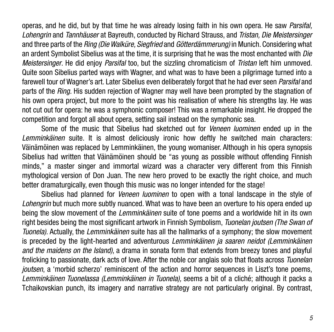operas, and he did, but by that time he was already losing faith in his own opera. He saw *Parsifal, Lohengrin* and *Tannhäuser* at Bayreuth, conducted by Richard Strauss, and *Tristan, Die Meistersinger*  and three parts of the *Ring (Die Walküre, Siegfried* and *Götterdämmerung)* in Munich. Considering what an ardent Symbolist Sibelius was at the time, it is surprising that he was the most enchanted with *Die Meistersinger*. He did enjoy *Parsifal* too, but the sizzling chromaticism of *Tristan* left him unmoved. Quite soon Sibelius parted ways with Wagner, and what was to have been a pilgrimage turned into a farewell tour of Wagner's art. Later Sibelius even deliberately forgot that he had ever seen *Parsifal* and parts of the *Ring.* His sudden rejection of Wagner may well have been prompted by the stagnation of his own opera project, but more to the point was his realisation of where his strengths lay. He was not cut out for opera: he was a symphonic composer! This was a remarkable insight. He dropped the competition and forgot all about opera, setting sail instead on the symphonic sea.

Some of the music that Sibelius had sketched out for *Veneen luominen* ended up in the *Lemminkäinen* suite. It is almost deliciously ironic how deftly he switched main characters: Väinämöinen was replaced by Lemminkäinen, the young womaniser. Although in his opera synopsis Sibelius had written that Väinämöinen should be "as young as possible without offending Finnish minds," a master singer and immortal wizard was a character very different from this Finnish mythological version of Don Juan. The new hero proved to be exactly the right choice, and much better dramaturgically, even though this music was no longer intended for the stage!

Sibelius had planned for *Veneen luominen* to open with a tonal landscape in the style of *Lohengrin* but much more subtly nuanced. What was to have been an overture to his opera ended up being the slow movement of the *Lemminkäinen* suite of tone poems and a worldwide hit in its own right besides being the most significant artwork in Finnish Symbolism, *Tuonelan joutsen (The Swan of Tuonela).* Actually, the *Lemminkäinen* suite has all the hallmarks of a symphony; the slow movement is preceded by the light-hearted and adventurous *Lemminkäinen ja saaren neidot (Lemminkäinen and the maidens on the Island)*, a drama in sonata form that extends from breezy tones and playful frolicking to passionate, dark acts of love. After the noble cor anglais solo that floats across *Tuonelan joutsen*, a 'morbid scherzo' reminiscent of the action and horror sequences in Liszt's tone poems, *Lemminkäinen Tuonelassa (Lemminkäinen in Tuonela),* seems a bit of a cliché; although it packs a Tchaikovskian punch, its imagery and narrative strategy are not particularly original. By contrast,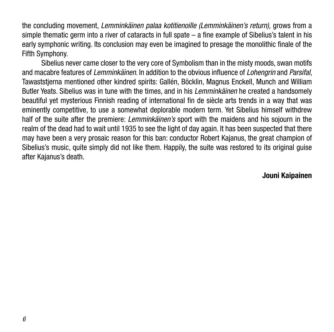the concluding movement, *Lemminkäinen palaa kotitienoille (Lemminkäinen's return),* grows from a simple thematic germ into a river of cataracts in full spate – a fine example of Sibelius's talent in his early symphonic writing. Its conclusion may even be imagined to presage the monolithic finale of the Fifth Symphony.

Sibelius never came closer to the very core of Symbolism than in the misty moods, swan motifs and macabre features of *Lemminkäinen*. In addition to the obvious influence of *Lohengrin* and *Parsifal*, Tawaststjerna mentioned other kindred spirits: Gallén, Böcklin, Magnus Enckell, Munch and William Butler Yeats. Sibelius was in tune with the times, and in his *Lemminkäinen* he created a handsomely beautiful yet mysterious Finnish reading of international fin de siècle arts trends in a way that was eminently competitive, to use a somewhat deplorable modern term. Yet Sibelius himself withdrew half of the suite after the premiere: *Lemminkäinen's* sport with the maidens and his sojourn in the realm of the dead had to wait until 1935 to see the light of day again. It has been suspected that there may have been a very prosaic reason for this ban: conductor Robert Kajanus, the great champion of Sibelius's music, quite simply did not like them. Happily, the suite was restored to its original guise after Kajanus's death.

#### **Jouni Kaipainen**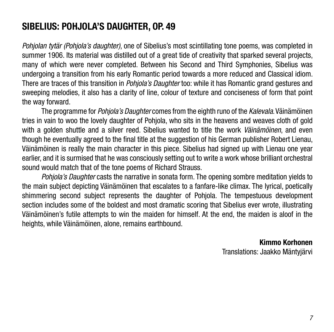### **Sibelius: Pohjola's Daughter, Op. 49**

*Pohjolan tytär (Pohjola's daughter)*, one of Sibelius's most scintillating tone poems, was completed in summer 1906. Its material was distilled out of a great tide of creativity that sparked several projects, many of which were never completed. Between his Second and Third Symphonies, Sibelius was undergoing a transition from his early Romantic period towards a more reduced and Classical idiom. There are traces of this transition in *Pohjola's Daughter* too: while it has Romantic grand gestures and sweeping melodies, it also has a clarity of line, colour of texture and conciseness of form that point the way forward.

The programme for *Pohjola's Daughter* comes from the eighth runo of the *Kalevala*. Väinämöinen tries in vain to woo the lovely daughter of Pohjola, who sits in the heavens and weaves cloth of gold with a golden shuttle and a silver reed. Sibelius wanted to title the work *Väinämöinen*, and even though he eventually agreed to the final title at the suggestion of his German publisher Robert Lienau, Väinämöinen is really the main character in this piece. Sibelius had signed up with Lienau one year earlier, and it is surmised that he was consciously setting out to write a work whose brilliant orchestral sound would match that of the tone poems of Richard Strauss.

*Pohjola's Daughter* casts the narrative in sonata form. The opening sombre meditation yields to the main subject depicting Väinämöinen that escalates to a fanfare-like climax. The lyrical, poetically shimmering second subject represents the daughter of Pohjola. The tempestuous development section includes some of the boldest and most dramatic scoring that Sibelius ever wrote, illustrating Väinämöinen's futile attempts to win the maiden for himself. At the end, the maiden is aloof in the heights, while Väinämöinen, alone, remains earthbound.

#### **Kimmo Korhonen**

Translations: Jaakko Mäntyjärvi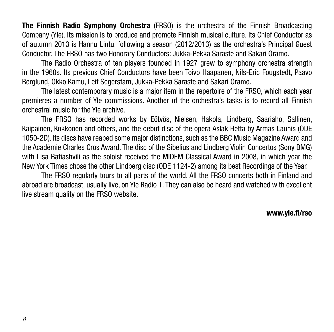**The Finnish Radio Symphony Orchestra** (FRSO) is the orchestra of the Finnish Broadcasting Company (Yle). Its mission is to produce and promote Finnish musical culture. Its Chief Conductor as of autumn 2013 is Hannu Lintu, following a season (2012/2013) as the orchestra's Principal Guest Conductor. The FRSO has two Honorary Conductors: Jukka-Pekka Saraste and Sakari Oramo.

The Radio Orchestra of ten players founded in 1927 grew to symphony orchestra strength in the 1960s. Its previous Chief Conductors have been Toivo Haapanen, Nils-Eric Fougstedt, Paavo Berglund, Okko Kamu, Leif Segerstam, Jukka-Pekka Saraste and Sakari Oramo.

The latest contemporary music is a major item in the repertoire of the FRSO, which each year premieres a number of Yle commissions. Another of the orchestra's tasks is to record all Finnish orchestral music for the Yle archive.

The FRSO has recorded works by Eötvös, Nielsen, Hakola, Lindberg, Saariaho, Sallinen, Kaipainen, Kokkonen and others, and the debut disc of the opera Aslak Hetta by Armas Launis (ODE 1050-2D). Its discs have reaped some major distinctions, such as the BBC Music Magazine Award and the Académie Charles Cros Award. The disc of the Sibelius and Lindberg Violin Concertos (Sony BMG) with Lisa Batiashvili as the soloist received the MIDEM Classical Award in 2008, in which year the New York Times chose the other Lindberg disc (ODE 1124-2) among its best Recordings of the Year.

The FRSO regularly tours to all parts of the world. All the FRSO concerts both in Finland and abroad are broadcast, usually live, on Yle Radio 1. They can also be heard and watched with excellent live stream quality on the FRSO website.

**[www.yle.fi/rso](http://www.yle.fi/rso)**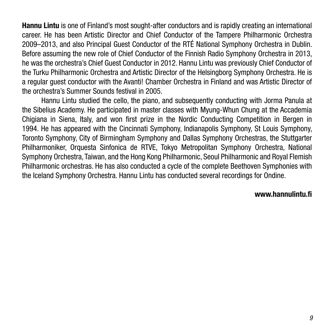**Hannu Lintu** is one of Finland's most sought-after conductors and is rapidly creating an international career. He has been Artistic Director and Chief Conductor of the Tampere Philharmonic Orchestra 2009–2013, and also Principal Guest Conductor of the RTÉ National Symphony Orchestra in Dublin. Before assuming the new role of Chief Conductor of the Finnish Radio Symphony Orchestra in 2013, he was the orchestra's Chief Guest Conductor in 2012. Hannu Lintu was previously Chief Conductor of the Turku Philharmonic Orchestra and Artistic Director of the Helsingborg Symphony Orchestra. He is a regular guest conductor with the Avanti! Chamber Orchestra in Finland and was Artistic Director of the orchestra's Summer Sounds festival in 2005.

Hannu Lintu studied the cello, the piano, and subsequently conducting with Jorma Panula at the Sibelius Academy. He participated in master classes with Myung-Whun Chung at the Accademia Chigiana in Siena, Italy, and won first prize in the Nordic Conducting Competition in Bergen in 1994. He has appeared with the Cincinnati Symphony, Indianapolis Symphony, St Louis Symphony, Toronto Symphony, City of Birmingham Symphony and Dallas Symphony Orchestras, the Stuttgarter Philharmoniker, Orquesta Sinfonica de RTVE, Tokyo Metropolitan Symphony Orchestra, National Symphony Orchestra, Taiwan, and the Hong Kong Philharmonic, Seoul Philharmonic and Royal Flemish Philharmonic orchestras. He has also conducted a cycle of the complete Beethoven Symphonies with the Iceland Symphony Orchestra. Hannu Lintu has conducted several recordings for Ondine.

#### **www.hannulintu.fi**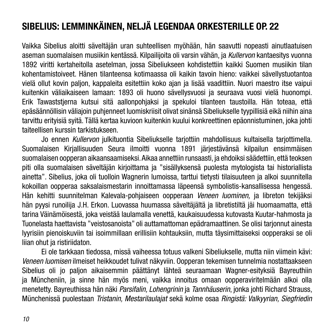# **Sibelius: Lemminkäinen, neljä legendaa orkesterille Op. 22**

Vaikka Sibelius aloitti säveltäjän uran suhteellisen myöhään, hän saavutti nopeasti ainutlaatuisen aseman suomalaisen musiikin kentässä. Kilpailijoita oli varsin vähän, ja *Kullervon* kantaesitys vuonna 1892 viritti kertaheitolla asetelman, jossa Sibeliukseen kohdistettiin kaikki Suomen musiikin tilan kohentamistoiveet. Hänen tilanteensa kotimaassa oli kaikin tavoin hieno: vaikkei sävellystuotantoa vielä ollut kovin paljon, kappaleita esitettiin koko ajan ja lisää vaadittiin. Nuori maestro itse vaipui kuitenkin väliaikaiseen lamaan: 1893 oli huono sävellysvuosi ja seuraava vuosi vielä huonompi. Erik Tawaststjerna kutsui sitä aallonpohjaksi ja spekuloi tilanteen taustoilla. Hän toteaa, että epäsäännöllisin väliajoin puhjenneet luomiskriisit olivat sinänsä Sibeliukselle tyypillisiä eikä niihin aina tarvittu erityisiä syitä. Tällä kertaa kuvioon kuitenkin kuului konkreettinen epäonnistuminen, joka johti taiteellisen kurssin tarkistukseen.

Jo ennen *Kullervon* julkituontia Sibeliukselle tarjottiin mahdollisuus kultaisella tarjottimella. Suomalaisen Kirjallisuuden Seura ilmoitti vuonna 1891 järjestävänsä kilpailun ensimmäisen suomalaisen oopperan aikaansaamiseksi. Aikaa annettiin runsaasti, ja ehdoiksi säädettiin, että teoksen piti olla suomalaisen säveltäjän kirjoittama ja "sisällyksensä puolesta mytologista tai historiallista ainetta". Sibelius, joka oli tuolloin Wagnerin lumoissa, tarttui tietysti tilaisuuteen ja alkoi suunnitella kokoillan oopperaa saksalaismestarin innoittamassa läpeensä symbolistis-kansallisessa hengessä. Hän kehitti suunnitelman Kalevala-pohjaiseen oopperaan *Veneen luominen,* ja libreton tekijäksi hän pyysi runoilija J.H. Erkon. Luovassa huumassa säveltäjältä ja libretistiltä jäi huomaamatta, että tarina Väinämöisestä, joka veistää laulamalla venettä, kaukaisuudessa kutovasta Kuutar-hahmosta ja Tuonelasta haettavista "veistosanoista" oli auttamattoman epädramaattinen. Se olisi tarjonnut ainesta lyyrisiin pienoiskuviin tai isoimmillaan erillisiin kohtauksiin, mutta täysimittaiseksi oopperaksi se oli liian ohut ja ristiriidaton.

Ei ole tarkkaan tiedossa, missä vaiheessa totuus valkeni Sibeliukselle, mutta niin viimein kävi: *Veneen luomisen* ilmeiset heikkoudet tulivat näkyviin. Oopperan tekemisen tunnelmia nostattaakseen Sibelius oli jo paljon aikaisemmin päättänyt lähteä seuraamaan Wagner-esityksiä Bayreuthiin ja Müncheniin, ja sinne hän myös meni, vaikka innoitus omaan oopperaviritelmään alkoi olla menetetty. Bayreuthissa hän näki *Parsifalin, Lohengrinin* ja *Tannhäuserin*, jonka johti Richard Strauss, Münchenissä puolestaan *Tristanin, Mestarilaulajat* sekä kolme osaa *Ringistä: Valkyyrian, Siegfriedin*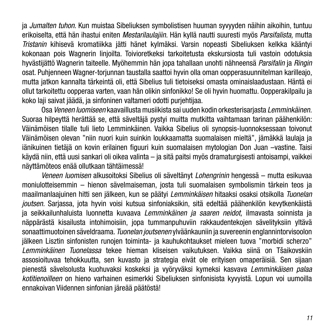ja *Jumalten tuhon*. Kun muistaa Sibeliuksen symbolistisen huuman syvyyden näihin aikoihin, tuntuu erikoiselta, että hän ihastui eniten *Mestarilaulajiin.* Hän kyllä nautti suuresti myös *Parsifalista,* mutta *Tristanin* kihisevä kromatiikka jätti hänet kylmäksi. Varsin nopeasti Sibeliuksen kelkka kääntyi kokonaan pois Wagnerin linjoilta. Toivioretkeksi tarkoitetusta ekskursiosta tuli vastoin odotuksia hyvästijättö Wagnerin taiteelle. Myöhemmin hän jopa tahallaan unohti nähneensä *Parsifalin* ja *Ringin* osat. Puhjenneen Wagner-torjunnan taustalla saattoi hyvin olla oman oopperasuunnitelman karilleajo, mutta jatkon kannalta tärkeintä oli, että Sibelius tuli tietoiseksi omasta ominaislaadustaan. Häntä ei ollut tarkoitettu oopperaa varten, vaan hän olikin sinfonikko! Se oli hyvin huomattu. Oopperakilpailu ja koko laji saivat jäädä, ja sinfoninen valtameri odotti purjehtijaa.

Osa *Veneen luomiseen* kaavaillusta musiikista sai uuden kodin orkesterisarjasta *Lemminkäinen.* Suoraa hilpeyttä herättää se, että säveltäjä pystyi muitta mutkitta vaihtamaan tarinan päähenkilön: Väinämöisen tilalle tuli lieto Lemminkäinen. Vaikka Sibelius oli synopsis-luonnoksessaan toivonut Väinämöisen olevan "niin nuori kuin suinkin loukkaamatta suomalaisen mieltä", jämäkkä laulaja ja iänikuinen tietäjä on kovin erilainen figuuri kuin suomalaisen mytologian Don Juan –vastine. Taisi käydä niin, että uusi sankari oli oikea valinta – ja sitä paitsi myös dramaturgisesti antoisampi, vaikkei näyttämöteos enää ollutkaan tähtäimessä!

*Veneen luomisen* alkusoitoksi Sibelius oli säveltänyt *Lohengrinin* hengessä – mutta esikuvaa moniulotteisemmin – hienon sävelmaiseman, josta tuli suomalaisen symbolismin tärkein teos ja maailmanlaajuinen hitti sen jälkeen, kun se päätyi *Lemminkäisen* hitaaksi osaksi otsikolla *Tuonelan joutsen.* Sarjassa, jota hyvin voisi kutsua sinfoniaksikin, sitä edeltää päähenkilön kevytkenkäistä ja seikkailunhaluista luonnetta kuvaava *Lemminkäinen ja saaren neidot,* ilmavasta soinnista ja näppärästä kisailusta intohimoisiin, jopa tummanpuhuviin rakkaudentekojen sävelityksiin yltävä sonaattimuotoinen säveldraama. *Tuonelan joutsenen* ylväänkauniin ja suvereenin englannintorvisoolon jälkeen Lisztin sinfonisten runojen toiminta- ja kauhukohtaukset mieleen tuova "morbidi scherzo" *Lemminkäinen Tuonelassa* tekee hieman kliseisen vaikutuksen. Vaikka siinä on Tšaikovskiin assosioituvaa tehokkuutta, sen kuvasto ja strategia eivät ole erityisen omaperäisiä. Sen sijaan pienestä sävelsolusta kuohuvaksi koskeksi ja vyöryväksi kymeksi kasvava *Lemminkäisen palaa kotitienoilleen* on hieno varhainen esimerkki Sibeliuksen sinfonisista kyvyistä. Lopun voi uumoilla ennakoivan Viidennen sinfonian järeää päätöstä!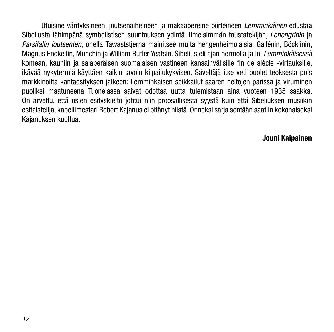Utuisine värityksineen, joutsenaiheineen ja makaabereine piirteineen *Lemminkäinen* edustaa Sibeliusta lähimpänä symbolistisen suuntauksen ydintä. Ilmeisimmän taustatekijän, *Lohengrinin* ja *Parsifalin joutsenten*, ohella Tawaststjerna mainitsee muita hengenheimolaisia: Gallénin, Böcklinin, Magnus Enckellin, Munchin ja William Butler Yeatsin. Sibelius eli ajan hermolla ja loi *Lemminkäisessä* komean, kauniin ja salaperäisen suomalaisen vastineen kansainvälisille fin de siècle -virtauksille, ikävää nykytermiä käyttäen kaikin tavoin kilpailukykyisen. Säveltäjä itse veti puolet teoksesta pois markkinoilta kantaesityksen jälkeen: Lemminkäisen seikkailut saaren neitojen parissa ja viruminen puoliksi maatuneena Tuonelassa saivat odottaa uutta tulemistaan aina vuoteen 1935 saakka. On arveltu, että osien esityskielto johtui niin proosallisesta syystä kuin että Sibeliuksen musiikin esitaistelija, kapellimestari Robert Kajanus ei pitänyt niistä. Onneksi sarja sentään saatiin kokonaiseksi Kajanuksen kuoltua.

#### **Jouni Kaipainen**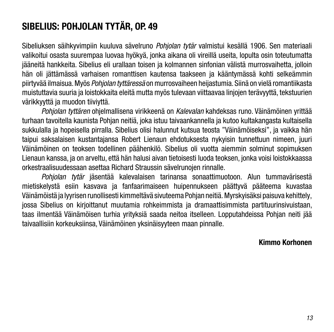# **Sibelius: Pohjolan tytär, Op. 49**

Sibeliuksen säihkyvimpiin kuuluva sävelruno *Pohjolan tytär* valmistui kesällä 1906. Sen materiaali valikoitui osasta suurempaa luovaa hyökyä, jonka aikana oli vireillä useita, lopulta osin toteutumatta jääneitä hankkeita. Sibelius eli urallaan toisen ja kolmannen sinfonian välistä murrosvaihetta, jolloin hän oli jättämässä varhaisen romanttisen kautensa taakseen ja kääntymässä kohti selkeämmin piirtyvää ilmaisua. Myös *Pohjolan tyttäressä* on murrosvaiheen heijastumia. Siinä on vielä romantiikasta muistuttavia suuria ja loistokkaita eleitä mutta myös tulevaan viittaavaa linjojen terävyyttä, tekstuurien värikkyyttä ja muodon tiiviyttä.

*Pohjolan tyttären* ohjelmallisena virikkeenä on *Kalevalan* kahdeksas runo. Väinämöinen yrittää turhaan tavoitella kaunista Pohjan neitiä, joka istuu taivaankannella ja kutoo kultakangasta kultaisella sukkulalla ja hopeisella pirralla. Sibelius olisi halunnut kutsua teosta "Väinämöiseksi", ja vaikka hän taipui saksalaisen kustantajansa Robert Lienaun ehdotuksesta nykyisin tunnettuun nimeen, juuri Väinämöinen on teoksen todellinen päähenkilö. Sibelius oli vuotta aiemmin solminut sopimuksen Lienaun kanssa, ja on arveltu, että hän halusi aivan tietoisesti luoda teoksen, jonka voisi loistokkaassa orkestraalisuudessaan asettaa Richard Straussin sävelrunojen rinnalle.

*Pohjolan tytär* jäsentää kalevalaisen tarinansa sonaattimuotoon. Alun tummavärisestä mietiskelystä esiin kasvava ja fanfaarimaiseen huipennukseen päättyvä pääteema kuvastaa Väinämöistä ja lyyrisen runollisesti kimmeltävä sivuteema Pohjan neitiä. Myrskyisäksi paisuva kehittely, jossa Sibelius on kirjoittanut muutamia rohkeimmista ja dramaattisimmista partituurinsivuistaan, taas ilmentää Väinämöisen turhia yrityksiä saada neitoa itselleen. Lopputahdeissa Pohjan neiti jää taivaallisiin korkeuksiinsa, Väinämöinen yksinäisyyteen maan pinnalle.

#### **Kimmo Korhonen**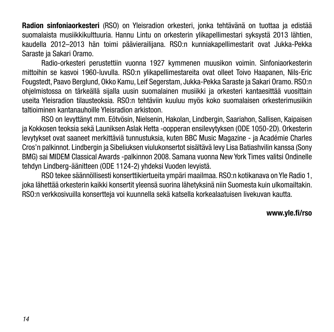**Radion sinfoniaorkesteri** (RSO) on Yleisradion orkesteri, jonka tehtävänä on tuottaa ja edistää suomalaista musiikkikulttuuria. Hannu Lintu on orkesterin ylikapellimestari syksystä 2013 lähtien, kaudella 2012–2013 hän toimi päävierailijana. RSO:n kunniakapellimestarit ovat Jukka-Pekka Saraste ja Sakari Oramo.

Radio-orkesteri perustettiin vuonna 1927 kymmenen muusikon voimin. Sinfoniaorkesterin mittoihin se kasvoi 1960-luvulla. RSO:n ylikapellimestareita ovat olleet Toivo Haapanen, Nils-Eric Fougstedt, Paavo Berglund, Okko Kamu, Leif Segerstam, Jukka-Pekka Saraste ja Sakari Oramo. RSO:n ohjelmistossa on tärkeällä sijalla uusin suomalainen musiikki ja orkesteri kantaesittää vuosittain useita Yleisradion tilausteoksia. RSO:n tehtäviin kuuluu myös koko suomalaisen orkesterimusiikin taltioiminen kantanauhoille Yleisradion arkistoon.

RSO on levyttänyt mm. Eötvösin, Nielsenin, Hakolan, Lindbergin, Saariahon, Sallisen, Kaipaisen ja Kokkosen teoksia sekä Launiksen Aslak Hetta -oopperan ensilevytyksen (ODE 1050-2D). Orkesterin levytykset ovat saaneet merkittäviä tunnustuksia, kuten BBC Music Magazine - ja Académie Charles Cros'n palkinnot. Lindbergin ja Sibeliuksen viulukonsertot sisältävä levy Lisa Batiashvilin kanssa (Sony BMG) sai MIDEM Classical Awards -palkinnon 2008. Samana vuonna New York Times valitsi Ondinelle tehdyn Lindberg-äänitteen (ODE 1124-2) yhdeksi Vuoden levyistä.

RSO tekee säännöllisesti konserttikiertueita ympäri maailmaa. RSO:n kotikanava on Yle Radio 1, joka lähettää orkesterin kaikki konsertit yleensä suorina lähetyksinä niin Suomesta kuin ulkomailtakin. RSO:n verkkosivuilla konsertteja voi kuunnella sekä katsella korkealaatuisen livekuvan kautta.

#### **www.yle.fi/rso**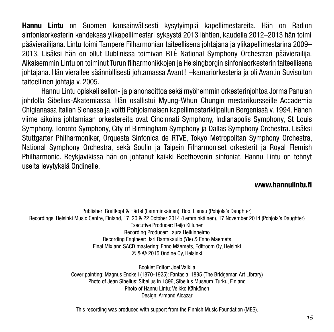**Hannu Lintu** on Suomen kansainvälisesti kysytyimpiä kapellimestareita. Hän on Radion sinfoniaorkesterin kahdeksas ylikapellimestari syksystä 2013 lähtien, kaudella 2012–2013 hän toimi päävierailijana. Lintu toimi Tampere Filharmonian taiteellisena johtajana ja ylikapellimestarina 2009– 2013. Lisäksi hän on ollut Dublinissa toimivan RTÉ National Symphony Orchestran päävierailija. Aikaisemmin Lintu on toiminut Turun filharmonikkojen ja Helsingborgin sinfoniaorkesterin taiteellisena johtajana. Hän vierailee säännöllisesti johtamassa Avanti! –kamariorkesteria ja oli Avantin Suvisoiton taiteellinen johtaja v. 2005.

Hannu Lintu opiskeli sellon- ja pianonsoittoa sekä myöhemmin orkesterinjohtoa Jorma Panulan johdolla Sibelius-Akatemiassa. Hän osallistui Myung-Whun Chungin mestarikursseille Accademia Chigianassa Italian Sienassa ja voitti Pohjoismaisen kapellimestarikilpailun Bergenissä v. 1994. Hänen viime aikoina johtamiaan orkestereita ovat Cincinnati Symphony, Indianapolis Symphony, St Louis Symphony, Toronto Symphony, City of Birmingham Symphony ja Dallas Symphony Orchestra. Lisäksi Stuttgarter Philharmoniker, Orquesta Sinfonica de RTVE, Tokyo Metropolitan Symphony Orchestra, National Symphony Orchestra, sekä Soulin ja Taipein Filharmoniset orkesterit ja Royal Flemish Philharmonic. Reykjavikissa hän on johtanut kaikki Beethovenin sinfoniat. Hannu Lintu on tehnyt useita levytyksiä Ondinelle.

### **www.hannulintu.fi**

Publisher: Breitkopf & Härtel (Lemminkäinen), Rob. Lienau (Pohjola's Daughter) Recordings: Helsinki Music Centre, Finland, 17, 20 & 22 October 2014 (Lemminkäinen), 17 November 2014 (Pohjola's Daughter) Executive Producer: Reijo Kiilunen Recording Producer: Laura Heikinheimo Recording Engineer: Jari Rantakaulio (Yle) & Enno Mäemets Final Mix and SACD mastering: Enno Mäemets, Editroom Oy, Helsinki ℗ & © 2015 Ondine Oy, Helsinki

> Booklet Editor: Joel Valkila Cover painting: Magnus Enckell (1870-1925): Fantasia, 1895 (The Bridgeman Art Library) Photo of Jean Sibelius: Sibelius in 1896, Sibelius Museum, Turku, Finland Photo of Hannu Lintu: Veikko Kähkönen Design: Armand Alcazar

This recording was produced with support from the Finnish Music Foundation (MES).